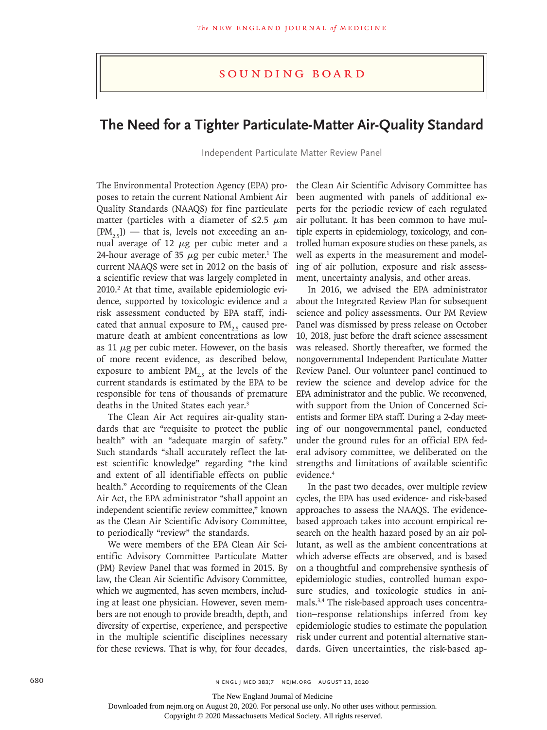## Sounding Board

## **The Need for a Tighter Particulate-Matter Air-Quality Standard**

Independent Particulate Matter Review Panel

The Environmental Protection Agency (EPA) proposes to retain the current National Ambient Air Quality Standards (NAAQS) for fine particulate matter (particles with a diameter of  $\leq$ 2.5  $\mu$ m  $[PM_{25}]$ ) — that is, levels not exceeding an annual average of 12 μg per cubic meter and a 24-hour average of 35  $\mu$ g per cubic meter.<sup>1</sup> The current NAAQS were set in 2012 on the basis of a scientific review that was largely completed in 2010.<sup>2</sup> At that time, available epidemiologic evidence, supported by toxicologic evidence and a risk assessment conducted by EPA staff, indicated that annual exposure to  $PM_{25}$  caused premature death at ambient concentrations as low as 11  $\mu$ g per cubic meter. However, on the basis of more recent evidence, as described below, exposure to ambient  $PM_{25}$  at the levels of the current standards is estimated by the EPA to be responsible for tens of thousands of premature deaths in the United States each year.<sup>3</sup>

The Clean Air Act requires air-quality standards that are "requisite to protect the public health" with an "adequate margin of safety." Such standards "shall accurately reflect the latest scientific knowledge" regarding "the kind and extent of all identifiable effects on public health." According to requirements of the Clean Air Act, the EPA administrator "shall appoint an independent scientific review committee," known as the Clean Air Scientific Advisory Committee, to periodically "review" the standards.

We were members of the EPA Clean Air Scientific Advisory Committee Particulate Matter (PM) Review Panel that was formed in 2015. By law, the Clean Air Scientific Advisory Committee, which we augmented, has seven members, including at least one physician. However, seven members are not enough to provide breadth, depth, and diversity of expertise, experience, and perspective in the multiple scientific disciplines necessary for these reviews. That is why, for four decades, the Clean Air Scientific Advisory Committee has been augmented with panels of additional experts for the periodic review of each regulated air pollutant. It has been common to have multiple experts in epidemiology, toxicology, and controlled human exposure studies on these panels, as well as experts in the measurement and modeling of air pollution, exposure and risk assessment, uncertainty analysis, and other areas.

In 2016, we advised the EPA administrator about the Integrated Review Plan for subsequent science and policy assessments. Our PM Review Panel was dismissed by press release on October 10, 2018, just before the draft science assessment was released. Shortly thereafter, we formed the nongovernmental Independent Particulate Matter Review Panel. Our volunteer panel continued to review the science and develop advice for the EPA administrator and the public. We reconvened, with support from the Union of Concerned Scientists and former EPA staff. During a 2-day meeting of our nongovernmental panel, conducted under the ground rules for an official EPA federal advisory committee, we deliberated on the strengths and limitations of available scientific evidence.4

In the past two decades, over multiple review cycles, the EPA has used evidence- and risk-based approaches to assess the NAAQS. The evidencebased approach takes into account empirical research on the health hazard posed by an air pollutant, as well as the ambient concentrations at which adverse effects are observed, and is based on a thoughtful and comprehensive synthesis of epidemiologic studies, controlled human exposure studies, and toxicologic studies in animals.3,4 The risk-based approach uses concentration–response relationships inferred from key epidemiologic studies to estimate the population risk under current and potential alternative standards. Given uncertainties, the risk-based ap-

The New England Journal of Medicine

Downloaded from nejm.org on August 20, 2020. For personal use only. No other uses without permission.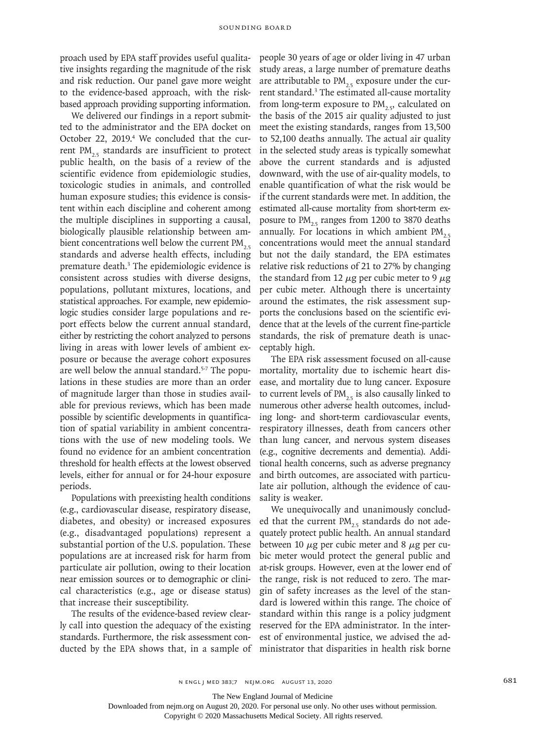proach used by EPA staff provides useful qualitative insights regarding the magnitude of the risk and risk reduction. Our panel gave more weight to the evidence-based approach, with the riskbased approach providing supporting information.

We delivered our findings in a report submitted to the administrator and the EPA docket on October 22, 2019.<sup>4</sup> We concluded that the current PM $_{25}$  standards are insufficient to protect public health, on the basis of a review of the scientific evidence from epidemiologic studies, toxicologic studies in animals, and controlled human exposure studies; this evidence is consistent within each discipline and coherent among the multiple disciplines in supporting a causal, biologically plausible relationship between ambient concentrations well below the current  $PM_{2.5}$ standards and adverse health effects, including premature death.<sup>3</sup> The epidemiologic evidence is consistent across studies with diverse designs, populations, pollutant mixtures, locations, and statistical approaches. For example, new epidemiologic studies consider large populations and report effects below the current annual standard, either by restricting the cohort analyzed to persons living in areas with lower levels of ambient exposure or because the average cohort exposures are well below the annual standard.5-7 The populations in these studies are more than an order of magnitude larger than those in studies available for previous reviews, which has been made possible by scientific developments in quantification of spatial variability in ambient concentrations with the use of new modeling tools. We found no evidence for an ambient concentration threshold for health effects at the lowest observed levels, either for annual or for 24-hour exposure periods.

Populations with preexisting health conditions (e.g., cardiovascular disease, respiratory disease, diabetes, and obesity) or increased exposures (e.g., disadvantaged populations) represent a substantial portion of the U.S. population. These populations are at increased risk for harm from particulate air pollution, owing to their location near emission sources or to demographic or clinical characteristics (e.g., age or disease status) that increase their susceptibility.

The results of the evidence-based review clearly call into question the adequacy of the existing standards. Furthermore, the risk assessment conducted by the EPA shows that, in a sample of people 30 years of age or older living in 47 urban study areas, a large number of premature deaths are attributable to  $PM_{25}$  exposure under the current standard.3 The estimated all-cause mortality from long-term exposure to  $PM_{25}$ , calculated on the basis of the 2015 air quality adjusted to just meet the existing standards, ranges from 13,500 to 52,100 deaths annually. The actual air quality in the selected study areas is typically somewhat above the current standards and is adjusted downward, with the use of air-quality models, to enable quantification of what the risk would be if the current standards were met. In addition, the estimated all-cause mortality from short-term exposure to  $PM_{2.5}$  ranges from 1200 to 3870 deaths annually. For locations in which ambient  $PM_{2.5}$ concentrations would meet the annual standard but not the daily standard, the EPA estimates relative risk reductions of 21 to 27% by changing the standard from 12  $\mu$ g per cubic meter to 9  $\mu$ g per cubic meter. Although there is uncertainty around the estimates, the risk assessment supports the conclusions based on the scientific evidence that at the levels of the current fine-particle standards, the risk of premature death is unacceptably high.

The EPA risk assessment focused on all-cause mortality, mortality due to ischemic heart disease, and mortality due to lung cancer. Exposure to current levels of  $PM_{25}$  is also causally linked to numerous other adverse health outcomes, including long- and short-term cardiovascular events, respiratory illnesses, death from cancers other than lung cancer, and nervous system diseases (e.g., cognitive decrements and dementia). Additional health concerns, such as adverse pregnancy and birth outcomes, are associated with particulate air pollution, although the evidence of causality is weaker.

We unequivocally and unanimously concluded that the current  $PM_{2.5}$  standards do not adequately protect public health. An annual standard between 10  $\mu$ g per cubic meter and 8  $\mu$ g per cubic meter would protect the general public and at-risk groups. However, even at the lower end of the range, risk is not reduced to zero. The margin of safety increases as the level of the standard is lowered within this range. The choice of standard within this range is a policy judgment reserved for the EPA administrator. In the interest of environmental justice, we advised the administrator that disparities in health risk borne

The New England Journal of Medicine

Downloaded from nejm.org on August 20, 2020. For personal use only. No other uses without permission.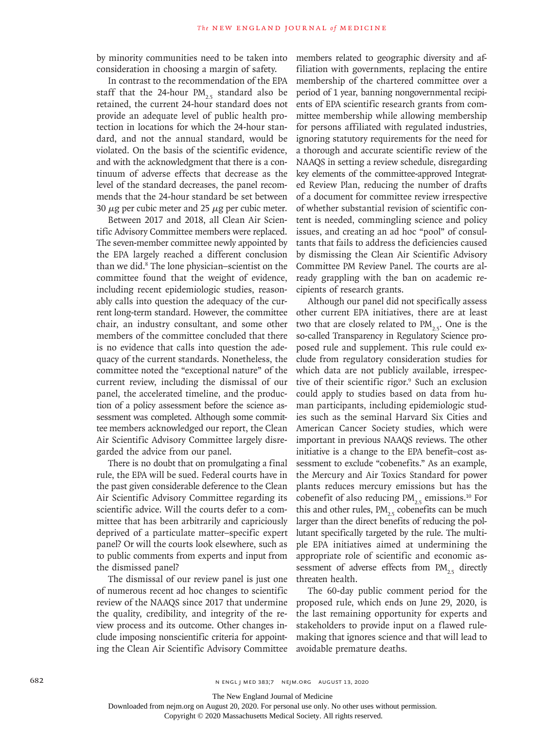by minority communities need to be taken into consideration in choosing a margin of safety.

In contrast to the recommendation of the EPA staff that the 24-hour  $PM_{2.5}$  standard also be retained, the current 24-hour standard does not provide an adequate level of public health protection in locations for which the 24-hour standard, and not the annual standard, would be violated. On the basis of the scientific evidence, and with the acknowledgment that there is a continuum of adverse effects that decrease as the level of the standard decreases, the panel recommends that the 24-hour standard be set between 30  $\mu$ g per cubic meter and 25  $\mu$ g per cubic meter.

Between 2017 and 2018, all Clean Air Scientific Advisory Committee members were replaced. The seven-member committee newly appointed by the EPA largely reached a different conclusion than we did.8 The lone physician–scientist on the committee found that the weight of evidence, including recent epidemiologic studies, reasonably calls into question the adequacy of the current long-term standard. However, the committee chair, an industry consultant, and some other members of the committee concluded that there is no evidence that calls into question the adequacy of the current standards. Nonetheless, the committee noted the "exceptional nature" of the current review, including the dismissal of our panel, the accelerated timeline, and the production of a policy assessment before the science assessment was completed. Although some committee members acknowledged our report, the Clean Air Scientific Advisory Committee largely disregarded the advice from our panel.

There is no doubt that on promulgating a final rule, the EPA will be sued. Federal courts have in the past given considerable deference to the Clean Air Scientific Advisory Committee regarding its scientific advice. Will the courts defer to a committee that has been arbitrarily and capriciously deprived of a particulate matter–specific expert panel? Or will the courts look elsewhere, such as to public comments from experts and input from the dismissed panel?

The dismissal of our review panel is just one of numerous recent ad hoc changes to scientific review of the NAAQS since 2017 that undermine the quality, credibility, and integrity of the review process and its outcome. Other changes include imposing nonscientific criteria for appointing the Clean Air Scientific Advisory Committee

members related to geographic diversity and affiliation with governments, replacing the entire membership of the chartered committee over a period of 1 year, banning nongovernmental recipients of EPA scientific research grants from committee membership while allowing membership for persons affiliated with regulated industries, ignoring statutory requirements for the need for a thorough and accurate scientific review of the NAAQS in setting a review schedule, disregarding key elements of the committee-approved Integrated Review Plan, reducing the number of drafts of a document for committee review irrespective of whether substantial revision of scientific content is needed, commingling science and policy issues, and creating an ad hoc "pool" of consultants that fails to address the deficiencies caused by dismissing the Clean Air Scientific Advisory Committee PM Review Panel. The courts are already grappling with the ban on academic recipients of research grants.

Although our panel did not specifically assess other current EPA initiatives, there are at least two that are closely related to  $PM_{25}$ . One is the so-called Transparency in Regulatory Science proposed rule and supplement. This rule could exclude from regulatory consideration studies for which data are not publicly available, irrespective of their scientific rigor.<sup>9</sup> Such an exclusion could apply to studies based on data from human participants, including epidemiologic studies such as the seminal Harvard Six Cities and American Cancer Society studies, which were important in previous NAAQS reviews. The other initiative is a change to the EPA benefit–cost assessment to exclude "cobenefits." As an example, the Mercury and Air Toxics Standard for power plants reduces mercury emissions but has the cobenefit of also reducing  $PM_{2.5}$  emissions.<sup>10</sup> For this and other rules,  $PM_{25}$  cobenefits can be much larger than the direct benefits of reducing the pollutant specifically targeted by the rule. The multiple EPA initiatives aimed at undermining the appropriate role of scientific and economic assessment of adverse effects from  $PM_{25}$  directly threaten health.

The 60-day public comment period for the proposed rule, which ends on June 29, 2020, is the last remaining opportunity for experts and stakeholders to provide input on a flawed rulemaking that ignores science and that will lead to avoidable premature deaths.

682 **N ENGL J MED 383;7 NEIM.ORG AUGUST 13, 2020** 

The New England Journal of Medicine

Downloaded from nejm.org on August 20, 2020. For personal use only. No other uses without permission.